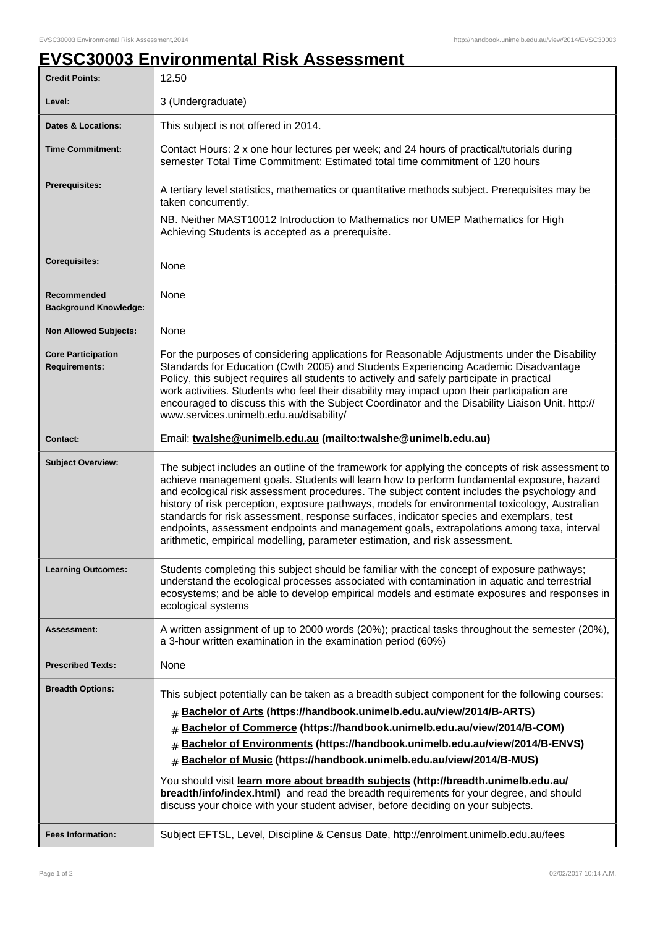## **EVSC30003 Environmental Risk Assessment**

| <b>Credit Points:</b>                             | 12.50                                                                                                                                                                                                                                                                                                                                                                                                                                                                                                                                                                                                                                                                                |
|---------------------------------------------------|--------------------------------------------------------------------------------------------------------------------------------------------------------------------------------------------------------------------------------------------------------------------------------------------------------------------------------------------------------------------------------------------------------------------------------------------------------------------------------------------------------------------------------------------------------------------------------------------------------------------------------------------------------------------------------------|
| Level:                                            | 3 (Undergraduate)                                                                                                                                                                                                                                                                                                                                                                                                                                                                                                                                                                                                                                                                    |
| <b>Dates &amp; Locations:</b>                     | This subject is not offered in 2014.                                                                                                                                                                                                                                                                                                                                                                                                                                                                                                                                                                                                                                                 |
| <b>Time Commitment:</b>                           | Contact Hours: 2 x one hour lectures per week; and 24 hours of practical/tutorials during<br>semester Total Time Commitment: Estimated total time commitment of 120 hours                                                                                                                                                                                                                                                                                                                                                                                                                                                                                                            |
| <b>Prerequisites:</b>                             | A tertiary level statistics, mathematics or quantitative methods subject. Prerequisites may be<br>taken concurrently.                                                                                                                                                                                                                                                                                                                                                                                                                                                                                                                                                                |
|                                                   | NB. Neither MAST10012 Introduction to Mathematics nor UMEP Mathematics for High<br>Achieving Students is accepted as a prerequisite.                                                                                                                                                                                                                                                                                                                                                                                                                                                                                                                                                 |
| <b>Corequisites:</b>                              | None                                                                                                                                                                                                                                                                                                                                                                                                                                                                                                                                                                                                                                                                                 |
| Recommended<br><b>Background Knowledge:</b>       | None                                                                                                                                                                                                                                                                                                                                                                                                                                                                                                                                                                                                                                                                                 |
| <b>Non Allowed Subjects:</b>                      | None                                                                                                                                                                                                                                                                                                                                                                                                                                                                                                                                                                                                                                                                                 |
| <b>Core Participation</b><br><b>Requirements:</b> | For the purposes of considering applications for Reasonable Adjustments under the Disability<br>Standards for Education (Cwth 2005) and Students Experiencing Academic Disadvantage<br>Policy, this subject requires all students to actively and safely participate in practical<br>work activities. Students who feel their disability may impact upon their participation are<br>encouraged to discuss this with the Subject Coordinator and the Disability Liaison Unit. http://<br>www.services.unimelb.edu.au/disability/                                                                                                                                                      |
| <b>Contact:</b>                                   | Email: twalshe@unimelb.edu.au (mailto:twalshe@unimelb.edu.au)                                                                                                                                                                                                                                                                                                                                                                                                                                                                                                                                                                                                                        |
| <b>Subject Overview:</b>                          | The subject includes an outline of the framework for applying the concepts of risk assessment to<br>achieve management goals. Students will learn how to perform fundamental exposure, hazard<br>and ecological risk assessment procedures. The subject content includes the psychology and<br>history of risk perception, exposure pathways, models for environmental toxicology, Australian<br>standards for risk assessment, response surfaces, indicator species and exemplars, test<br>endpoints, assessment endpoints and management goals, extrapolations among taxa, interval<br>arithmetic, empirical modelling, parameter estimation, and risk assessment.                 |
| <b>Learning Outcomes:</b>                         | Students completing this subject should be familiar with the concept of exposure pathways;<br>understand the ecological processes associated with contamination in aquatic and terrestrial<br>ecosystems; and be able to develop empirical models and estimate exposures and responses in<br>ecological systems                                                                                                                                                                                                                                                                                                                                                                      |
| <b>Assessment:</b>                                | A written assignment of up to 2000 words (20%); practical tasks throughout the semester (20%),<br>a 3-hour written examination in the examination period (60%)                                                                                                                                                                                                                                                                                                                                                                                                                                                                                                                       |
| <b>Prescribed Texts:</b>                          | None                                                                                                                                                                                                                                                                                                                                                                                                                                                                                                                                                                                                                                                                                 |
| <b>Breadth Options:</b>                           | This subject potentially can be taken as a breadth subject component for the following courses:<br>Bachelor of Arts (https://handbook.unimelb.edu.au/view/2014/B-ARTS)<br>Bachelor of Commerce (https://handbook.unimelb.edu.au/view/2014/B-COM)<br>#<br>Bachelor of Environments (https://handbook.unimelb.edu.au/view/2014/B-ENVS)<br>Bachelor of Music (https://handbook.unimelb.edu.au/view/2014/B-MUS)<br>#<br>You should visit learn more about breadth subjects (http://breadth.unimelb.edu.au/<br>breadth/info/index.html) and read the breadth requirements for your degree, and should<br>discuss your choice with your student adviser, before deciding on your subjects. |
| <b>Fees Information:</b>                          | Subject EFTSL, Level, Discipline & Census Date, http://enrolment.unimelb.edu.au/fees                                                                                                                                                                                                                                                                                                                                                                                                                                                                                                                                                                                                 |